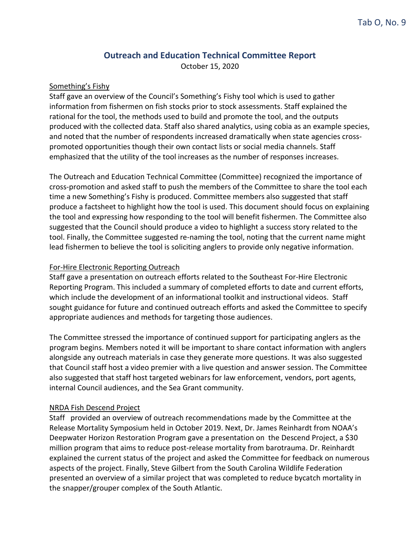# **Outreach and Education Technical Committee Report**

October 15, 2020

## Something's Fishy

Staff gave an overview of the Council's Something's Fishy tool which is used to gather information from fishermen on fish stocks prior to stock assessments. Staff explained the rational for the tool, the methods used to build and promote the tool, and the outputs produced with the collected data. Staff also shared analytics, using cobia as an example species, and noted that the number of respondents increased dramatically when state agencies crosspromoted opportunities though their own contact lists or social media channels. Staff emphasized that the utility of the tool increases as the number of responses increases.

The Outreach and Education Technical Committee (Committee) recognized the importance of cross-promotion and asked staff to push the members of the Committee to share the tool each time a new Something's Fishy is produced. Committee members also suggested that staff produce a factsheet to highlight how the tool is used. This document should focus on explaining the tool and expressing how responding to the tool will benefit fishermen. The Committee also suggested that the Council should produce a video to highlight a success story related to the tool. Finally, the Committee suggested re-naming the tool, noting that the current name might lead fishermen to believe the tool is soliciting anglers to provide only negative information.

## For-Hire Electronic Reporting Outreach

Staff gave a presentation on outreach efforts related to the Southeast For-Hire Electronic Reporting Program. This included a summary of completed efforts to date and current efforts, which include the development of an informational toolkit and instructional videos. Staff sought guidance for future and continued outreach efforts and asked the Committee to specify appropriate audiences and methods for targeting those audiences.

The Committee stressed the importance of continued support for participating anglers as the program begins. Members noted it will be important to share contact information with anglers alongside any outreach materials in case they generate more questions. It was also suggested that Council staff host a video premier with a live question and answer session. The Committee also suggested that staff host targeted webinars for law enforcement, vendors, port agents, internal Council audiences, and the Sea Grant community.

#### NRDA Fish Descend Project

Staff provided an overview of outreach recommendations made by the Committee at the Release Mortality Symposium held in October 2019. Next, Dr. James Reinhardt from NOAA's Deepwater Horizon Restoration Program gave a presentation on the Descend Project, a \$30 million program that aims to reduce post-release mortality from barotrauma. Dr. Reinhardt explained the current status of the project and asked the Committee for feedback on numerous aspects of the project. Finally, Steve Gilbert from the South Carolina Wildlife Federation presented an overview of a similar project that was completed to reduce bycatch mortality in the snapper/grouper complex of the South Atlantic.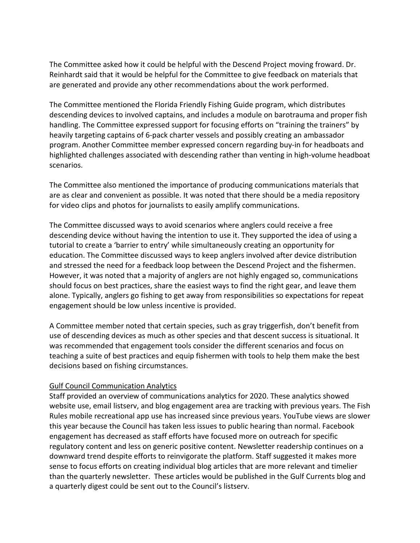The Committee asked how it could be helpful with the Descend Project moving froward. Dr. Reinhardt said that it would be helpful for the Committee to give feedback on materials that are generated and provide any other recommendations about the work performed.

The Committee mentioned the Florida Friendly Fishing Guide program, which distributes descending devices to involved captains, and includes a module on barotrauma and proper fish handling. The Committee expressed support for focusing efforts on "training the trainers" by heavily targeting captains of 6-pack charter vessels and possibly creating an ambassador program. Another Committee member expressed concern regarding buy-in for headboats and highlighted challenges associated with descending rather than venting in high-volume headboat scenarios.

The Committee also mentioned the importance of producing communications materials that are as clear and convenient as possible. It was noted that there should be a media repository for video clips and photos for journalists to easily amplify communications.

The Committee discussed ways to avoid scenarios where anglers could receive a free descending device without having the intention to use it. They supported the idea of using a tutorial to create a 'barrier to entry' while simultaneously creating an opportunity for education. The Committee discussed ways to keep anglers involved after device distribution and stressed the need for a feedback loop between the Descend Project and the fishermen. However, it was noted that a majority of anglers are not highly engaged so, communications should focus on best practices, share the easiest ways to find the right gear, and leave them alone. Typically, anglers go fishing to get away from responsibilities so expectations for repeat engagement should be low unless incentive is provided.

A Committee member noted that certain species, such as gray triggerfish, don't benefit from use of descending devices as much as other species and that descent success is situational. It was recommended that engagement tools consider the different scenarios and focus on teaching a suite of best practices and equip fishermen with tools to help them make the best decisions based on fishing circumstances.

#### Gulf Council Communication Analytics

Staff provided an overview of communications analytics for 2020. These analytics showed website use, email listserv, and blog engagement area are tracking with previous years. The Fish Rules mobile recreational app use has increased since previous years. YouTube views are slower this year because the Council has taken less issues to public hearing than normal. Facebook engagement has decreased as staff efforts have focused more on outreach for specific regulatory content and less on generic positive content. Newsletter readership continues on a downward trend despite efforts to reinvigorate the platform. Staff suggested it makes more sense to focus efforts on creating individual blog articles that are more relevant and timelier than the quarterly newsletter. These articles would be published in the Gulf Currents blog and a quarterly digest could be sent out to the Council's listserv.